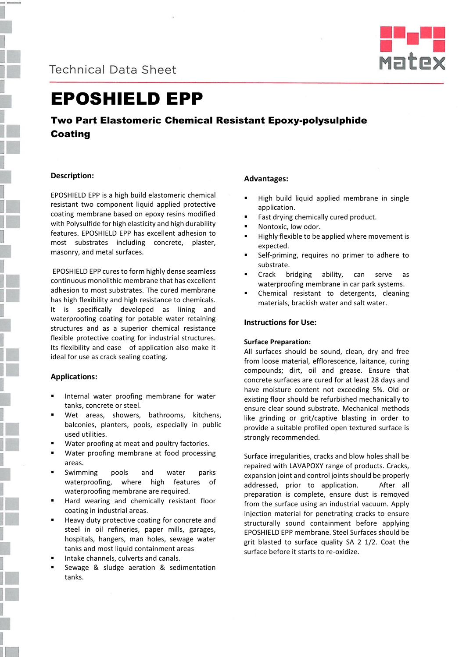



# EPOSHIELD EPP

## Two Part Elastomeric Chemical Resistant Epoxy-polysulphide Coating

## **Description:**

EPOSHIELD EPP is a high build elastomeric chemical resistant two component liquid applied protective coating membrane based on epoxy resins modified with Polysulfide for high elasticity and high durability features. EPOSHIELD EPP has excellent adhesion to most substrates including concrete, plaster, masonry, and metal surfaces.

EPOSHIELD EPP cures to form highly dense seamless continuous monolithic membrane that has excellent adhesion to most substrates. The cured membrane has high flexibility and high resistance to chemicals. It is specifically developed as lining and waterproofing coating for potable water retaining structures and as a superior chemical resistance flexible protective coating for industrial structures. Its flexibility and ease of application also make it ideal for use as crack sealing coating.

## **Applications:**

- Internal water proofing membrane for water tanks, concrete or steel.
- Wet areas, showers, bathrooms, kitchens, balconies, planters, pools, especially in public used utilities.
- Water proofing at meat and poultry factories.
- Water proofing membrane at food processing areas.
- Swimming pools and water parks waterproofing, where high features of waterproofing membrane are required.
- Hard wearing and chemically resistant floor coating in industrial areas.
- Heavy duty protective coating for concrete and steel in oil refineries, paper mills, garages, hospitals, hangers, man holes, sewage water tanks and most liquid containment areas
- Intake channels, culverts and canals.
- Sewage & sludge aeration & sedimentation tanks.

## **Advantages:**

- High build liquid applied membrane in single application.
- Fast drying chemically cured product.
- Nontoxic, low odor.
- Highly flexible to be applied where movement is expected.
- Self-priming, requires no primer to adhere to substrate.
- Crack bridging ability, can serve as waterproofing membrane in car park systems.
- Chemical resistant to detergents, cleaning materials, brackish water and salt water.

## **Instructions for Use:**

#### **Surface Preparation:**

All surfaces should be sound, clean, dry and free from loose material, efflorescence, laitance, curing compounds; dirt, oil and grease. Ensure that concrete surfaces are cured for at least 28 days and have moisture content not exceeding 5%. Old or existing floor should be refurbished mechanically to ensure clear sound substrate. Mechanical methods like grinding or grit/captive blasting in order to provide a suitable profiled open textured surface is strongly recommended.

Surface irregularities, cracks and blow holes shall be repaired with LAVAPOXY range of products. Cracks, expansion joint and control joints should be properly addressed, prior to application. After all preparation is complete, ensure dust is removed from the surface using an industrial vacuum. Apply injection material for penetrating cracks to ensure structurally sound containment before applying EPOSHIELD EPP membrane. Steel Surfaces should be grit blasted to surface quality SA 2 1/2. Coat the surface before it starts to re-oxidize.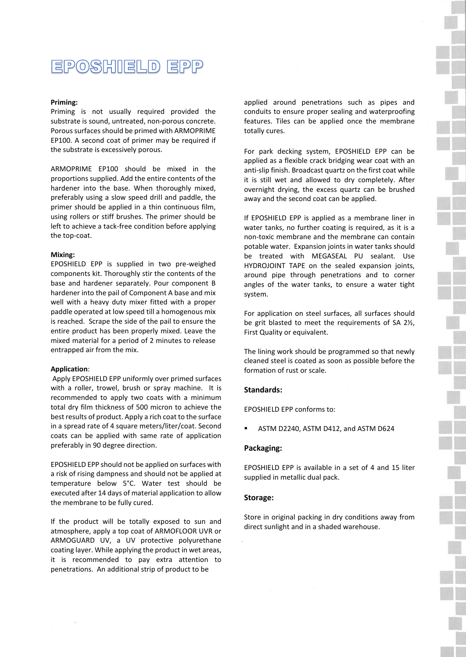## **EPOSHIELD EPP**

#### **Priming:**

Priming is not usually required provided the substrate is sound, untreated, non-porous concrete. Porous surfaces should be primed with ARMOPRIME EP100. A second coat of primer may be required if the substrate is excessively porous.

ARMOPRIME EP100 should be mixed in the proportions supplied. Add the entire contents of the hardener into the base. When thoroughly mixed, preferably using a slow speed drill and paddle, the primer should be applied in a thin continuous film, using rollers or stiff brushes. The primer should be left to achieve a tack-free condition before applying the top-coat.

#### **Mixing:**

EPOSHIELD EPP is supplied in two pre-weighed components kit. Thoroughly stir the contents of the base and hardener separately. Pour component B hardener into the pail of Component A base and mix well with a heavy duty mixer fitted with a proper paddle operated at low speed till a homogenous mix is reached. Scrape the side of the pail to ensure the entire product has been properly mixed. Leave the mixed material for a period of 2 minutes to release entrapped air from the mix.

#### **Application**:

Apply EPOSHIELD EPP uniformly over primed surfaces with a roller, trowel, brush or spray machine. It is recommended to apply two coats with a minimum total dry film thickness of 500 micron to achieve the best results of product. Apply a rich coat to the surface in a spread rate of 4 square meters/liter/coat. Second coats can be applied with same rate of application preferably in 90 degree direction.

EPOSHIELD EPP should not be applied on surfaces with a risk of rising dampness and should not be applied at temperature below 5°C. Water test should be executed after 14 days of material application to allow the membrane to be fully cured.

If the product will be totally exposed to sun and atmosphere, apply a top coat of ARMOFLOOR UVR or ARMOGUARD UV, a UV protective polyurethane coating layer. While applying the product in wet areas, it is recommended to pay extra attention to penetrations. An additional strip of product to be

applied around penetrations such as pipes and conduits to ensure proper sealing and waterproofing features. Tiles can be applied once the membrane totally cures.

For park decking system, EPOSHIELD EPP can be applied as a flexible crack bridging wear coat with an anti-slip finish. Broadcast quartz on the first coat while it is still wet and allowed to dry completely. After overnight drying, the excess quartz can be brushed away and the second coat can be applied.

If EPOSHIELD EPP is applied as a membrane liner in water tanks, no further coating is required, as it is a non-toxic membrane and the membrane can contain potable water. Expansion joints in water tanks should be treated with MEGASEAL PU sealant. Use HYDROJOINT TAPE on the sealed expansion joints, around pipe through penetrations and to corner angles of the water tanks, to ensure a water tight system.

For application on steel surfaces, all surfaces should be grit blasted to meet the requirements of SA 2½, First Quality or equivalent.

The lining work should be programmed so that newly cleaned steel is coated as soon as possible before the formation of rust or scale.

#### **Standards:**

EPOSHIELD EPP conforms to:

ASTM D2240, ASTM D412, and ASTM D624

#### **Packaging:**

EPOSHIELD EPP is available in a set of 4 and 15 liter supplied in metallic dual pack.

#### **Storage:**

Store in original packing in dry conditions away from direct sunlight and in a shaded warehouse.